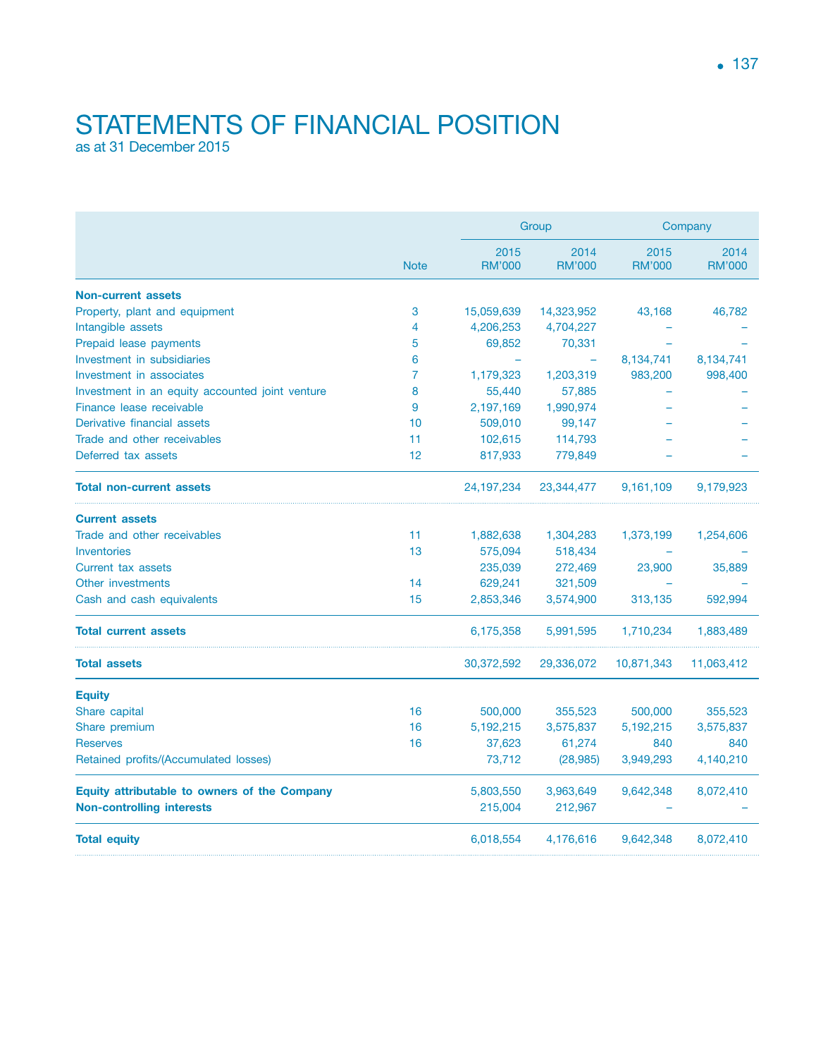## STATEMENTS OF FINANCIAL POSITION as at 31 December 2015

|                                                 | <b>Note</b> | Group                 |                       | Company               |                       |
|-------------------------------------------------|-------------|-----------------------|-----------------------|-----------------------|-----------------------|
|                                                 |             | 2015<br><b>RM'000</b> | 2014<br><b>RM'000</b> | 2015<br><b>RM'000</b> | 2014<br><b>RM'000</b> |
| <b>Non-current assets</b>                       |             |                       |                       |                       |                       |
| Property, plant and equipment                   | 3           | 15,059,639            | 14,323,952            | 43,168                | 46,782                |
| Intangible assets                               | 4           | 4,206,253             | 4,704,227             |                       |                       |
| Prepaid lease payments                          | 5           | 69,852                | 70,331                |                       |                       |
| Investment in subsidiaries                      | 6           |                       | ÷                     | 8,134,741             | 8,134,741             |
| Investment in associates                        | 7           | 1,179,323             | 1,203,319             | 983,200               | 998,400               |
| Investment in an equity accounted joint venture | 8           | 55,440                | 57,885                |                       |                       |
| Finance lease receivable                        | 9           | 2,197,169             | 1,990,974             |                       |                       |
| Derivative financial assets                     | 10          | 509,010               | 99,147                |                       |                       |
| Trade and other receivables                     | 11          | 102,615               | 114,793               |                       |                       |
| Deferred tax assets                             | 12          | 817,933               | 779,849               |                       |                       |
| <b>Total non-current assets</b>                 |             | 24, 197, 234          | 23,344,477            | 9,161,109             | 9,179,923             |
| <b>Current assets</b>                           |             |                       |                       |                       |                       |
| Trade and other receivables                     | 11          | 1,882,638             | 1,304,283             | 1,373,199             | 1,254,606             |
| Inventories                                     | 13          | 575,094               | 518,434               |                       |                       |
| Current tax assets                              |             | 235,039               | 272,469               | 23,900                | 35,889                |
| Other investments                               | 14          | 629,241               | 321,509               |                       |                       |
| Cash and cash equivalents                       | 15          | 2,853,346             | 3,574,900             | 313,135               | 592,994               |
| <b>Total current assets</b>                     |             | 6,175,358             | 5,991,595             | 1,710,234             | 1,883,489             |
| <b>Total assets</b>                             |             | 30,372,592            | 29,336,072            | 10,871,343            | 11,063,412            |
| <b>Equity</b>                                   |             |                       |                       |                       |                       |
| Share capital                                   | 16          | 500,000               | 355,523               | 500,000               | 355,523               |
| Share premium                                   | 16          | 5,192,215             | 3,575,837             | 5,192,215             | 3,575,837             |
| <b>Reserves</b>                                 | 16          | 37,623                | 61,274                | 840                   | 840                   |
| Retained profits/(Accumulated losses)           |             | 73,712                | (28, 985)             | 3,949,293             | 4,140,210             |
| Equity attributable to owners of the Company    |             | 5,803,550             | 3,963,649             | 9,642,348             | 8,072,410             |
| <b>Non-controlling interests</b>                |             | 215,004               | 212,967               |                       |                       |
| <b>Total equity</b>                             |             | 6,018,554             | 4,176,616             | 9,642,348             | 8,072,410             |